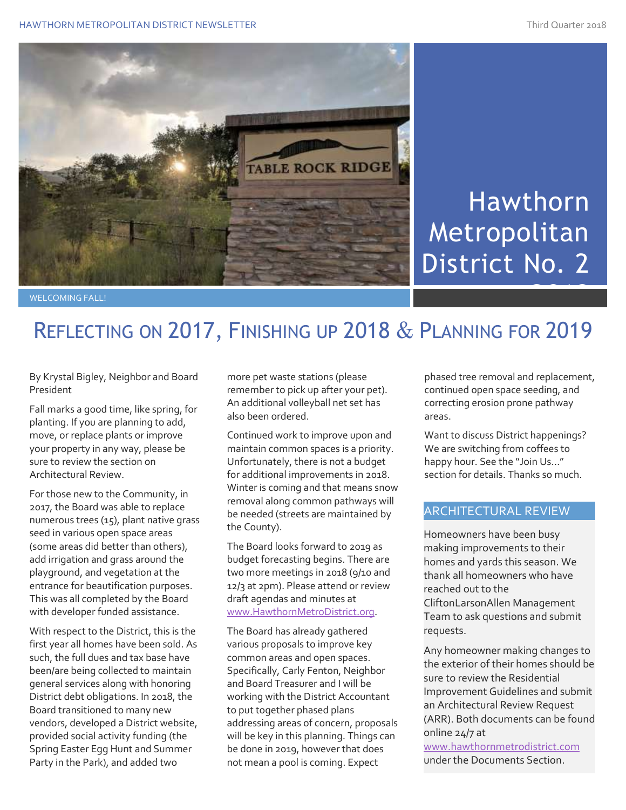

# Hawthorn Metropolitan District No. 2

## REFLECTING ON 2017, FINISHING UP 2018 & PLANNING FOR 2019

By Krystal Bigley, Neighbor and Board President

Fall marks a good time, like spring, for planting. If you are planning to add, move, or replace plants or improve your property in any way, please be sure to review the section on Architectural Review.

For those new to the Community, in 2017, the Board was able to replace numerous trees (15), plant native grass seed in various open space areas (some areas did better than others), add irrigation and grass around the playground, and vegetation at the entrance for beautification purposes. This was all completed by the Board with developer funded assistance.

With respect to the District, this is the first year all homes have been sold. As such, the full dues and tax base have been/are being collected to maintain general services along with honoring District debt obligations. In 2018, the Board transitioned to many new vendors, developed a District website, provided social activity funding (the Spring Easter Egg Hunt and Summer Party in the Park), and added two

more pet waste stations (please remember to pick up after your pet). An additional volleyball net set has also been ordered.

Continued work to improve upon and maintain common spaces is a priority. Unfortunately, there is not a budget for additional improvements in 2018. Winter is coming and that means snow removal along common pathways will be needed (streets are maintained by the County).

The Board looks forward to 2019 as budget forecasting begins. There are two more meetings in 2018 (9/10 and 12/3 at 2pm). Please attend or review draft agendas and minutes at [www.HawthornMetroDistrict.org.](http://www.hawthornmetrodistrict.org/)

The Board has already gathered various proposals to improve key common areas and open spaces. Specifically, Carly Fenton, Neighbor and Board Treasurer and I will be working with the District Accountant to put together phased plans addressing areas of concern, proposals will be key in this planning. Things can be done in 2019, however that does not mean a pool is coming. Expect

phased tree removal and replacement, continued open space seeding, and correcting erosion prone pathway areas.

Want to discuss District happenings? We are switching from coffees to happy hour. See the "Join Us…" section for details. Thanks so much.

#### ARCHITECTURAL REVIEW

Homeowners have been busy making improvements to their homes and yards this season. We thank all homeowners who have reached out to the CliftonLarsonAllen Management Team to ask questions and submit requests.

Any homeowner making changes to the exterior of their homes should be sure to review the Residential Improvement Guidelines and submit an Architectural Review Request (ARR). Both documents can be found online 24/7 at

[www.hawthornmetrodistrict.com](http://www.hawthornmetrodistrict.com/) under the Documents Section.